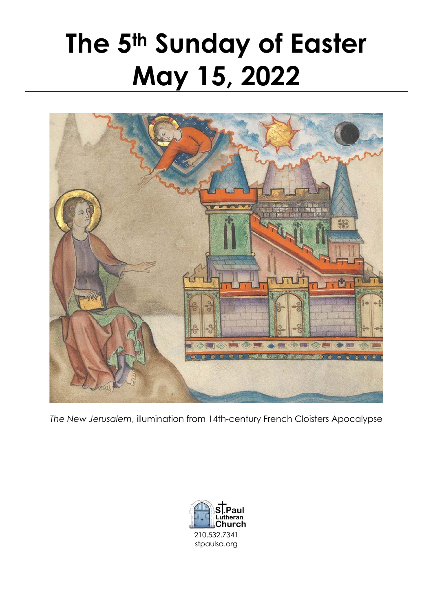# **The 5th Sunday of Easter May 15, 2022**



*The New Jerusalem*, illumination from 14th-century French Cloisters Apocalypse

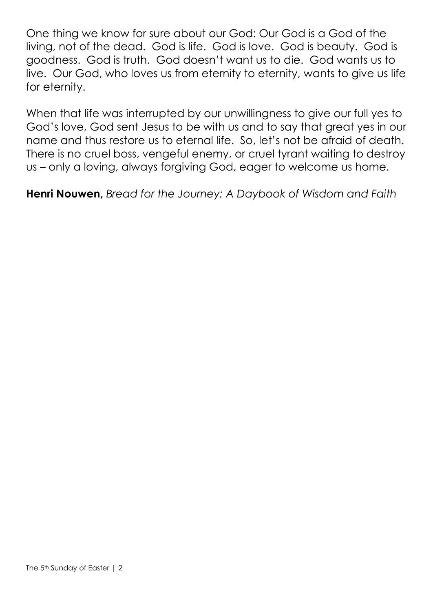One thing we know for sure about our God: Our God is a God of the living, not of the dead. God is life. God is love. God is beauty. God is goodness. God is truth. God doesn't want us to die. God wants us to live. Our God, who loves us from eternity to eternity, wants to give us life for eternity.

When that life was interrupted by our unwillingness to give our full yes to God's love, God sent Jesus to be with us and to say that great yes in our name and thus restore us to eternal life. So, let's not be afraid of death. There is no cruel boss, vengeful enemy, or cruel tyrant waiting to destroy us – only a loving, always forgiving God, eager to welcome us home.

**Henri Nouwen,** *Bread for the Journey: A Daybook of Wisdom and Faith*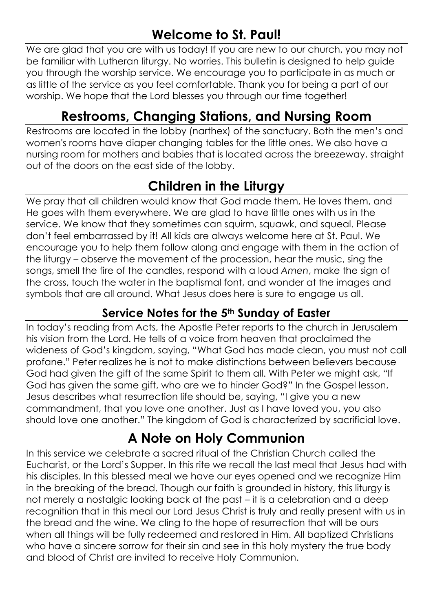# **Welcome to St. Paul!**

We are glad that you are with us today! If you are new to our church, you may not be familiar with Lutheran liturgy. No worries. This bulletin is designed to help guide you through the worship service. We encourage you to participate in as much or as little of the service as you feel comfortable. Thank you for being a part of our worship. We hope that the Lord blesses you through our time together!

# **Restrooms, Changing Stations, and Nursing Room**

Restrooms are located in the lobby (narthex) of the sanctuary. Both the men's and women's rooms have diaper changing tables for the little ones. We also have a nursing room for mothers and babies that is located across the breezeway, straight out of the doors on the east side of the lobby.

# **Children in the Liturgy**

We pray that all children would know that God made them, He loves them, and He goes with them everywhere. We are glad to have little ones with us in the service. We know that they sometimes can squirm, squawk, and squeal. Please don't feel embarrassed by it! All kids are always welcome here at St. Paul. We encourage you to help them follow along and engage with them in the action of the liturgy – observe the movement of the procession, hear the music, sing the songs, smell the fire of the candles, respond with a loud *Amen*, make the sign of the cross, touch the water in the baptismal font, and wonder at the images and symbols that are all around. What Jesus does here is sure to engage us all.

## **Service Notes for the 5th Sunday of Easter**

In today's reading from Acts, the Apostle Peter reports to the church in Jerusalem his vision from the Lord. He tells of a voice from heaven that proclaimed the wideness of God's kingdom, saying, "What God has made clean, you must not call profane." Peter realizes he is not to make distinctions between believers because God had given the gift of the same Spirit to them all. With Peter we might ask, "If God has given the same gift, who are we to hinder God?" In the Gospel lesson, Jesus describes what resurrection life should be, saying, "I give you a new commandment, that you love one another. Just as I have loved you, you also should love one another." The kingdom of God is characterized by sacrificial love.

# **A Note on Holy Communion**

In this service we celebrate a sacred ritual of the Christian Church called the Eucharist, or the Lord's Supper. In this rite we recall the last meal that Jesus had with his disciples. In this blessed meal we have our eyes opened and we recognize Him in the breaking of the bread. Though our faith is grounded in history, this liturgy is not merely a nostalgic looking back at the past – it is a celebration and a deep recognition that in this meal our Lord Jesus Christ is truly and really present with us in the bread and the wine. We cling to the hope of resurrection that will be ours when all things will be fully redeemed and restored in Him. All baptized Christians who have a sincere sorrow for their sin and see in this holy mystery the true body and blood of Christ are invited to receive Holy Communion.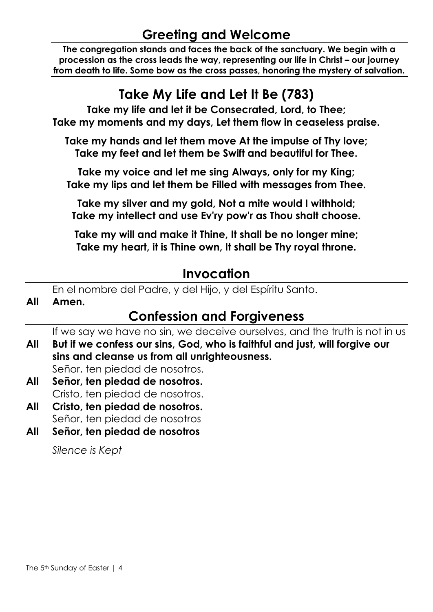## **Greeting and Welcome**

**The congregation stands and faces the back of the sanctuary. We begin with a procession as the cross leads the way, representing our life in Christ – our journey from death to life. Some bow as the cross passes, honoring the mystery of salvation.**

# **Take My Life and Let It Be (783)**

**Take my life and let it be Consecrated, Lord, to Thee; Take my moments and my days, Let them flow in ceaseless praise.**

**Take my hands and let them move At the impulse of Thy love; Take my feet and let them be Swift and beautiful for Thee.**

**Take my voice and let me sing Always, only for my King; Take my lips and let them be Filled with messages from Thee.**

**Take my silver and my gold, Not a mite would I withhold; Take my intellect and use Ev'ry pow'r as Thou shalt choose.**

**Take my will and make it Thine, It shall be no longer mine; Take my heart, it is Thine own, It shall be Thy royal throne.**

## **Invocation**

En el nombre del Padre, y del Hijo, y del Espíritu Santo.

#### **All Amen.**

## **Confession and Forgiveness**

If we say we have no sin, we deceive ourselves, and the truth is not in us

**All But if we confess our sins, God, who is faithful and just, will forgive our sins and cleanse us from all unrighteousness.**

Señor, ten piedad de nosotros.

- **All Señor, ten piedad de nosotros.** Cristo, ten piedad de nosotros.
- **All Cristo, ten piedad de nosotros.** Señor, ten piedad de nosotros
- **All Señor, ten piedad de nosotros**

*Silence is Kept*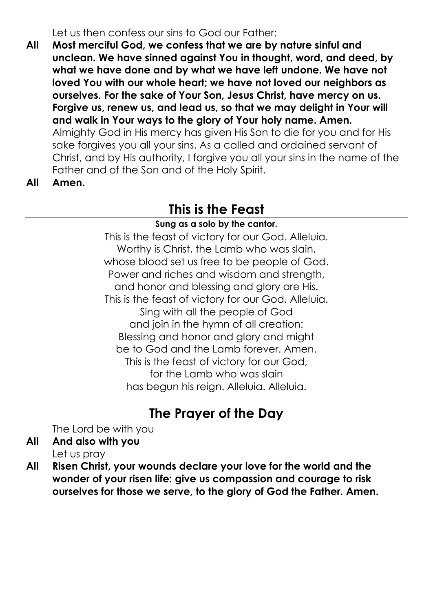Let us then confess our sins to God our Father:

**All Most merciful God, we confess that we are by nature sinful and unclean. We have sinned against You in thought, word, and deed, by what we have done and by what we have left undone. We have not loved You with our whole heart; we have not loved our neighbors as ourselves. For the sake of Your Son, Jesus Christ, have mercy on us. Forgive us, renew us, and lead us, so that we may delight in Your will and walk in Your ways to the glory of Your holy name. Amen.** Almighty God in His mercy has given His Son to die for you and for His sake forgives you all your sins. As a called and ordained servant of Christ, and by His authority, I forgive you all your sins in the name of the Father and of the Son and of the Holy Spirit.

**All Amen.**

## **This is the Feast**

#### **Sung as a solo by the cantor.**

This is the feast of victory for our God. Alleluia. Worthy is Christ, the Lamb who was slain, whose blood set us free to be people of God. Power and riches and wisdom and strength, and honor and blessing and glory are His. This is the feast of victory for our God. Alleluia. Sing with all the people of God and join in the hymn of all creation: Blessing and honor and glory and might be to God and the Lamb forever. Amen. This is the feast of victory for our God, for the Lamb who was slain has begun his reign. Alleluia. Alleluia.

# **The Prayer of the Day**

The Lord be with you

- **All And also with you** Let us pray
- **All Risen Christ, your wounds declare your love for the world and the wonder of your risen life: give us compassion and courage to risk ourselves for those we serve, to the glory of God the Father. Amen.**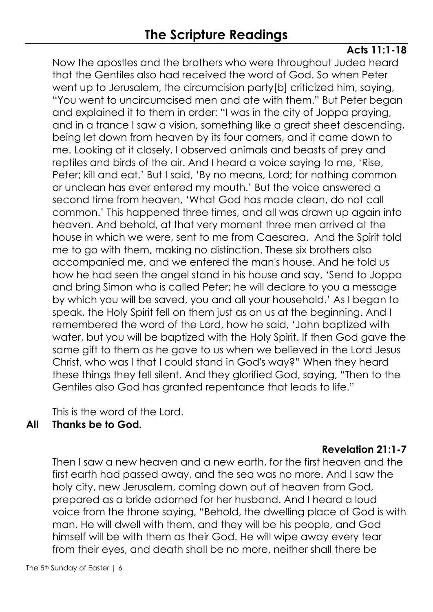## **The Scripture Readings**

#### **Acts 11:1-18**

Now the apostles and the brothers who were throughout Judea heard that the Gentiles also had received the word of God. So when Peter went up to Jerusalem, the circumcision party[b] criticized him, saying, "You went to uncircumcised men and ate with them." But Peter began and explained it to them in order: "I was in the city of Joppa praying, and in a trance I saw a vision, something like a great sheet descending, being let down from heaven by its four corners, and it came down to me. Looking at it closely, I observed animals and beasts of prey and reptiles and birds of the air. And I heard a voice saying to me, 'Rise, Peter; kill and eat.' But I said, 'By no means, Lord; for nothing common or unclean has ever entered my mouth.' But the voice answered a second time from heaven, 'What God has made clean, do not call common.' This happened three times, and all was drawn up again into heaven. And behold, at that very moment three men arrived at the house in which we were, sent to me from Caesarea. And the Spirit told me to go with them, making no distinction. These six brothers also accompanied me, and we entered the man's house. And he told us how he had seen the angel stand in his house and say, 'Send to Joppa and bring Simon who is called Peter; he will declare to you a message by which you will be saved, you and all your household.' As I began to speak, the Holy Spirit fell on them just as on us at the beginning. And I remembered the word of the Lord, how he said, 'John baptized with water, but you will be baptized with the Holy Spirit. If then God gave the same gift to them as he gave to us when we believed in the Lord Jesus Christ, who was I that I could stand in God's way?" When they heard these things they fell silent. And they glorified God, saying, "Then to the Gentiles also God has granted repentance that leads to life."

This is the word of the Lord.

## **All Thanks be to God.**

#### **Revelation 21:1-7**

Then I saw a new heaven and a new earth, for the first heaven and the first earth had passed away, and the sea was no more. And I saw the holy city, new Jerusalem, coming down out of heaven from God, prepared as a bride adorned for her husband. And I heard a loud voice from the throne saying, "Behold, the dwelling place of God is with man. He will dwell with them, and they will be his people, and God himself will be with them as their God. He will wipe away every tear from their eyes, and death shall be no more, neither shall there be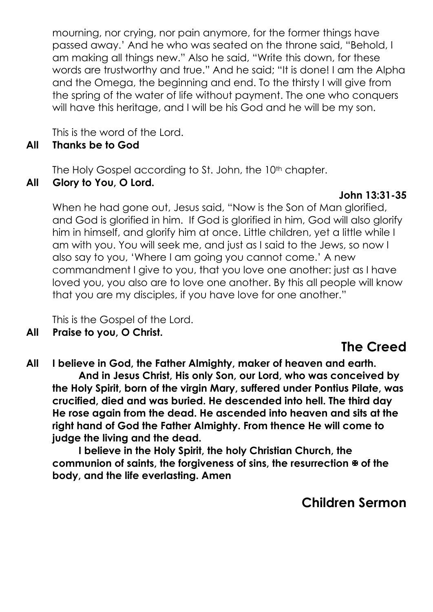mourning, nor crying, nor pain anymore, for the former things have passed away.' And he who was seated on the throne said, "Behold, I am making all things new." Also he said, "Write this down, for these words are trustworthy and true." And he said; "It is done! I am the Alpha and the Omega, the beginning and end. To the thirsty I will give from the spring of the water of life without payment. The one who conquers will have this heritage, and I will be his God and he will be my son.

This is the word of the Lord.

#### **All****Thanks be to God**

The Holy Gospel according to St. John, the 10<sup>th</sup> chapter.

**All****Glory to You, O Lord.**

## **John 13:31-35**

When he had gone out, Jesus said, "Now is the Son of Man glorified, and God is glorified in him. If God is glorified in him, God will also glorify him in himself, and glorify him at once. Little children, yet a little while I am with you. You will seek me, and just as I said to the Jews, so now I also say to you, 'Where I am going you cannot come.' A new commandment I give to you, that you love one another: just as I have loved you, you also are to love one another. By this all people will know that you are my disciples, if you have love for one another."

This is the Gospel of the Lord.

**All****Praise to you, O Christ.**

# **The Creed**

**All I believe in God, the Father Almighty, maker of heaven and earth. And in Jesus Christ, His only Son, our Lord, who was conceived by the Holy Spirit, born of the virgin Mary, suffered under Pontius Pilate, was crucified, died and was buried. He descended into hell. The third day He rose again from the dead. He ascended into heaven and sits at the right hand of God the Father Almighty. From thence He will come to judge the living and the dead.** 

**I believe in the Holy Spirit, the holy Christian Church, the communion of saints, the forgiveness of sins, the resurrection of the body, and the life everlasting. Amen**

**Children Sermon**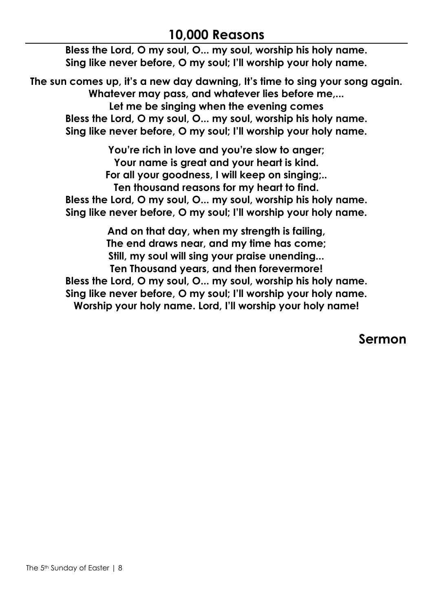## **10,000 Reasons**

**Bless the Lord, O my soul, O... my soul, worship his holy name. Sing like never before, O my soul; I'll worship your holy name.**

**The sun comes up, it's a new day dawning, It's time to sing your song again. Whatever may pass, and whatever lies before me,... Let me be singing when the evening comes Bless the Lord, O my soul, O... my soul, worship his holy name. Sing like never before, O my soul; I'll worship your holy name.**

**You're rich in love and you're slow to anger; Your name is great and your heart is kind. For all your goodness, I will keep on singing;.. Ten thousand reasons for my heart to find. Bless the Lord, O my soul, O... my soul, worship his holy name. Sing like never before, O my soul; I'll worship your holy name.**

**And on that day, when my strength is failing, The end draws near, and my time has come; Still, my soul will sing your praise unending... Ten Thousand years, and then forevermore! Bless the Lord, O my soul, O... my soul, worship his holy name. Sing like never before, O my soul; I'll worship your holy name. Worship your holy name. Lord, I'll worship your holy name!**

## **Sermon**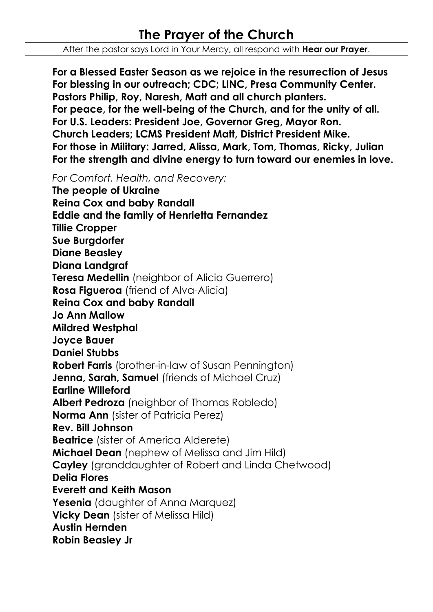After the pastor says Lord in Your Mercy, all respond with **Hear our Prayer**.

**For a Blessed Easter Season as we rejoice in the resurrection of Jesus For blessing in our outreach; CDC; LINC, Presa Community Center. Pastors Philip, Roy, Naresh, Matt and all church planters. For peace, for the well-being of the Church, and for the unity of all. For U.S. Leaders: President Joe, Governor Greg, Mayor Ron. Church Leaders; LCMS President Matt, District President Mike. For those in Military: Jarred, Alissa, Mark, Tom, Thomas, Ricky, Julian For the strength and divine energy to turn toward our enemies in love.** 

*For Comfort, Health, and Recovery:*

**The people of Ukraine Reina Cox and baby Randall Eddie and the family of Henrietta Fernandez Tillie Cropper Sue Burgdorfer Diane Beasley Diana Landgraf Teresa Medellin** (neighbor of Alicia Guerrero) **Rosa Figueroa** (friend of Alva-Alicia) **Reina Cox and baby Randall Jo Ann Mallow Mildred Westphal Joyce Bauer Daniel Stubbs Robert Farris** (brother-in-law of Susan Pennington) **Jenna, Sarah, Samuel** (friends of Michael Cruz) **Earline Willeford Albert Pedroza** (neighbor of Thomas Robledo) **Norma Ann** (sister of Patricia Perez) **Rev. Bill Johnson Beatrice** (sister of America Alderete) **Michael Dean** (nephew of Melissa and Jim Hild) **Cayley** (granddaughter of Robert and Linda Chetwood) **Delia Flores Everett and Keith Mason Yesenia** (daughter of Anna Marquez) **Vicky Dean** (sister of Melissa Hild) **Austin Hernden Robin Beasley Jr**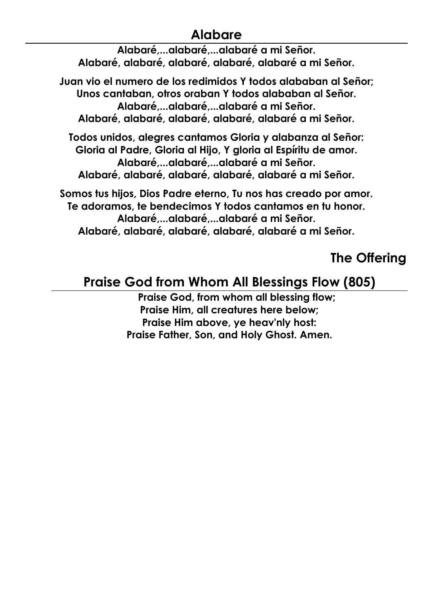## **Alabare**

**Alabaré,...alabaré,...alabaré a mi Señor. Alabaré, alabaré, alabaré, alabaré, alabaré a mi Señor.**

**Juan vio el numero de los redimidos Y todos alababan al Señor; Unos cantaban, otros oraban Y todos alababan al Señor. Alabaré,...alabaré,...alabaré a mi Señor. Alabaré, alabaré, alabaré, alabaré, alabaré a mi Señor.**

**Todos unidos, alegres cantamos Gloria y alabanza al Señor: Gloria al Padre, Gloria al Hijo, Y gloria al Espíritu de amor. Alabaré,...alabaré,...alabaré a mi Señor. Alabaré, alabaré, alabaré, alabaré, alabaré a mi Señor.**

**Somos tus hijos, Dios Padre eterno, Tu nos has creado por amor. Te adoramos, te bendecimos Y todos cantamos en tu honor. Alabaré,...alabaré,...alabaré a mi Señor. Alabaré, alabaré, alabaré, alabaré, alabaré a mi Señor.**

## **The Offering**

## **Praise God from Whom All Blessings Flow (805)**

 **Praise God, from whom all blessing flow; Praise Him, all creatures here below; Praise Him above, ye heav'nly host: Praise Father, Son, and Holy Ghost. Amen.**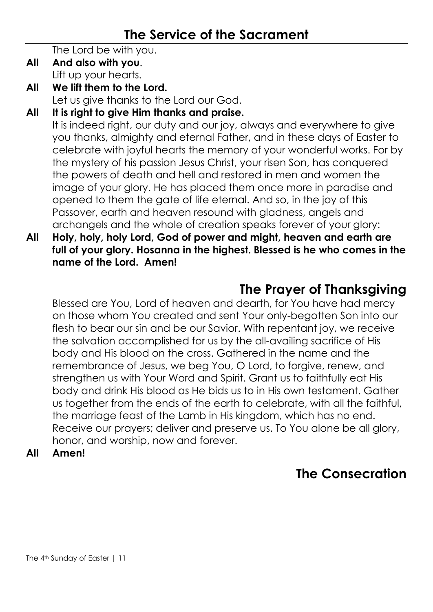The Lord be with you.

- **All And also with you**. Lift up your hearts.
- **All We lift them to the Lord.**  Let us give thanks to the Lord our God.

**All It is right to give Him thanks and praise.** It is indeed right, our duty and our joy, always and everywhere to give you thanks, almighty and eternal Father, and in these days of Easter to celebrate with joyful hearts the memory of your wonderful works. For by the mystery of his passion Jesus Christ, your risen Son, has conquered the powers of death and hell and restored in men and women the image of your glory. He has placed them once more in paradise and opened to them the gate of life eternal. And so, in the joy of this Passover, earth and heaven resound with gladness, angels and archangels and the whole of creation speaks forever of your glory:

**All Holy, holy, holy Lord, God of power and might, heaven and earth are full of your glory. Hosanna in the highest. Blessed is he who comes in the name of the Lord. Amen!**

# **The Prayer of Thanksgiving**

Blessed are You, Lord of heaven and dearth, for You have had mercy on those whom You created and sent Your only-begotten Son into our flesh to bear our sin and be our Savior. With repentant joy, we receive the salvation accomplished for us by the all-availing sacrifice of His body and His blood on the cross. Gathered in the name and the remembrance of Jesus, we beg You, O Lord, to forgive, renew, and strengthen us with Your Word and Spirit. Grant us to faithfully eat His body and drink His blood as He bids us to in His own testament. Gather us together from the ends of the earth to celebrate, with all the faithful, the marriage feast of the Lamb in His kingdom, which has no end. Receive our prayers; deliver and preserve us. To You alone be all glory, honor, and worship, now and forever.

**All Amen!**

# **The Consecration**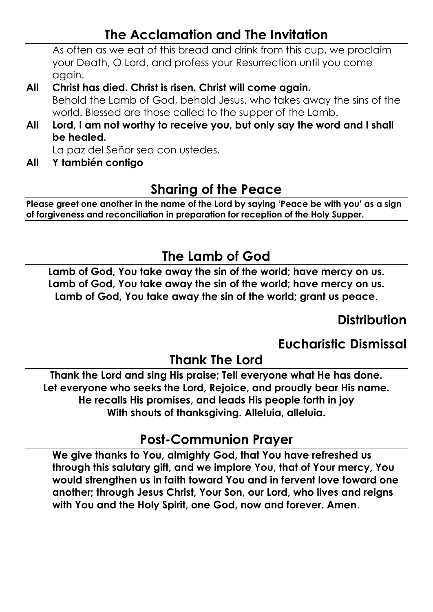## **The Acclamation and The Invitation**

As often as we eat of this bread and drink from this cup, we proclaim your Death, O Lord, and profess your Resurrection until you come again.

#### **All Christ has died. Christ is risen. Christ will come again.**  Behold the Lamb of God, behold Jesus, who takes away the sins of the world. Blessed are those called to the supper of the Lamb.

**All Lord, I am not worthy to receive you, but only say the word and I shall be healed.**

La paz del Señor sea con ustedes.

**All Y también contigo**

# **Sharing of the Peace**

**Please greet one another in the name of the Lord by saying 'Peace be with you' as a sign of forgiveness and reconciliation in preparation for reception of the Holy Supper.** 

# **The Lamb of God**

**Lamb of God, You take away the sin of the world; have mercy on us. Lamb of God, You take away the sin of the world; have mercy on us. Lamb of God, You take away the sin of the world; grant us peace**.

## **Distribution**

# **Eucharistic Dismissal**

# **Thank The Lord**

**Thank the Lord and sing His praise; Tell everyone what He has done. Let everyone who seeks the Lord, Rejoice, and proudly bear His name. He recalls His promises, and leads His people forth in joy With shouts of thanksgiving. Alleluia, alleluia.**

## **Post-Communion Prayer**

**We give thanks to You, almighty God, that You have refreshed us through this salutary gift, and we implore You, that of Your mercy, You would strengthen us in faith toward You and in fervent love toward one another; through Jesus Christ, Your Son, our Lord, who lives and reigns with You and the Holy Spirit, one God, now and forever. Amen**.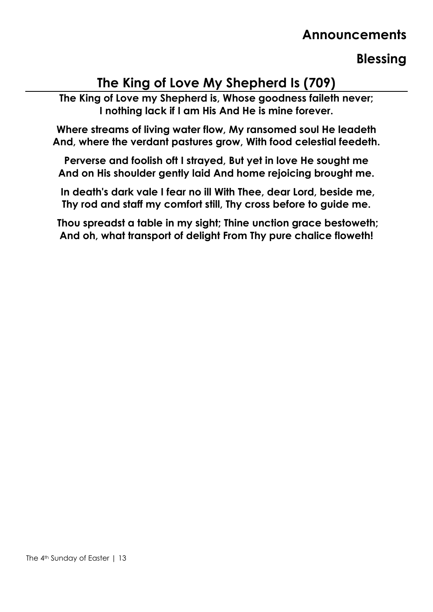## **Announcements**

## **Blessing**

## **The King of Love My Shepherd Is (709)**

**The King of Love my Shepherd is, Whose goodness faileth never; I nothing lack if I am His And He is mine forever.**

**Where streams of living water flow, My ransomed soul He leadeth And, where the verdant pastures grow, With food celestial feedeth.**

**Perverse and foolish oft I strayed, But yet in love He sought me And on His shoulder gently laid And home rejoicing brought me.**

**In death's dark vale I fear no ill With Thee, dear Lord, beside me, Thy rod and staff my comfort still, Thy cross before to guide me.**

**Thou spreadst a table in my sight; Thine unction grace bestoweth; And oh, what transport of delight From Thy pure chalice floweth!**